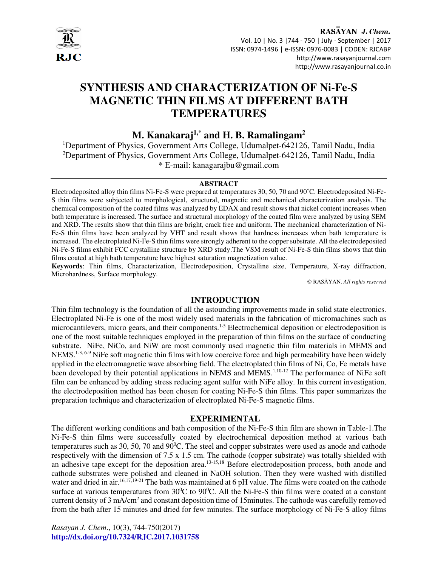

RASAYAN J. Chem. Vol. 10 | No. 3 |744 - 750 | July - September | 2017 ISSN: 0974-1496 | e-ISSN: 0976-0083 | CODEN: RJCABP http://www.rasayanjournal.com http://www.rasayanjournal.co.in

# **SYNTHESIS AND CHARACTERIZATION OF Ni-Fe-S MAGNETIC THIN FILMS AT DIFFERENT BATH TEMPERATURES**

**M. Kanakaraj1,\* and H. B. Ramalingam<sup>2</sup>**

<sup>1</sup>Department of Physics, Government Arts College, Udumalpet-642126, Tamil Nadu, India <sup>2</sup>Department of Physics, Government Arts College, Udumalpet-642126, Tamil Nadu, India \* E-mail: kanagarajbu@gmail.com

#### **ABSTRACT**

Electrodeposited alloy thin films Ni-Fe-S were prepared at temperatures 30, 50, 70 and 90˚C. Electrodeposited Ni-Fe-S thin films were subjected to morphological, structural, magnetic and mechanical characterization analysis. The chemical composition of the coated films was analyzed by EDAX and result shows that nickel content increases when bath temperature is increased. The surface and structural morphology of the coated film were analyzed by using SEM and XRD. The results show that thin films are bright, crack free and uniform. The mechanical characterization of Ni-Fe-S thin films have been analyzed by VHT and result shows that hardness increases when bath temperature is increased. The electroplated Ni-Fe-S thin films were strongly adherent to the copper substrate. All the electrodeposited Ni-Fe-S films exhibit FCC crystalline structure by XRD study.The VSM result of Ni-Fe-S thin films shows that thin films coated at high bath temperature have highest saturation magnetization value.

**Keywords**: Thin films, Characterization, Electrodeposition, Crystalline size, Temperature, X-ray diffraction, Microhardness, Surface morphology.

© RASĀYAN. *All rights reserved*

## **INTRODUCTION**

Thin film technology is the foundation of all the astounding improvements made in solid state electronics. Electroplated Ni-Fe is one of the most widely used materials in the fabrication of micromachines such as microcantilevers, micro gears, and their components.<sup>1-5</sup> Electrochemical deposition or electrodeposition is one of the most suitable techniques employed in the preparation of thin films on the surface of conducting substrate. NiFe, NiCo, and NiW are most commonly used magnetic thin film materials in MEMS and NEMS.<sup>1-3, 6-9</sup> NiFe soft magnetic thin films with low coercive force and high permeability have been widely applied in the electromagnetic wave absorbing field. The electroplated thin films of Ni, Co, Fe metals have been developed by their potential applications in NEMS and MEMS.<sup>1,10-12</sup> The performance of NiFe soft film can be enhanced by adding stress reducing agent sulfur with NiFe alloy. In this current investigation, the electrodeposition method has been chosen for coating Ni-Fe-S thin films. This paper summarizes the preparation technique and characterization of electroplated Ni-Fe-S magnetic films.

#### **EXPERIMENTAL**

The different working conditions and bath composition of the Ni-Fe-S thin film are shown in Table-1.The Ni-Fe-S thin films were successfully coated by electrochemical deposition method at various bath temperatures such as 30, 50, 70 and  $90^{\circ}$ C. The steel and copper substrates were used as anode and cathode respectively with the dimension of 7.5 x 1.5 cm. The cathode (copper substrate) was totally shielded with an adhesive tape except for the deposition area.<sup>13-15,18</sup> Before electrodeposition process, both anode and cathode substrates were polished and cleaned in NaOH solution. Then they were washed with distilled water and dried in air.<sup>16,17,19-21</sup> The bath was maintained at 6 pH value. The films were coated on the cathode surface at various temperatures from  $30^{\circ}$ C to  $90^{\circ}$ C. All the Ni-Fe-S thin films were coated at a constant current density of 3 mA/cm<sup>2</sup> and constant deposition time of 15minutes. The cathode was carefully removed from the bath after 15 minutes and dried for few minutes. The surface morphology of Ni-Fe-S alloy films

*Rasayan J. Chem*., 10(3), 744-750(2017) **http://dx.doi.org/10.7324/RJC.2017.1031758**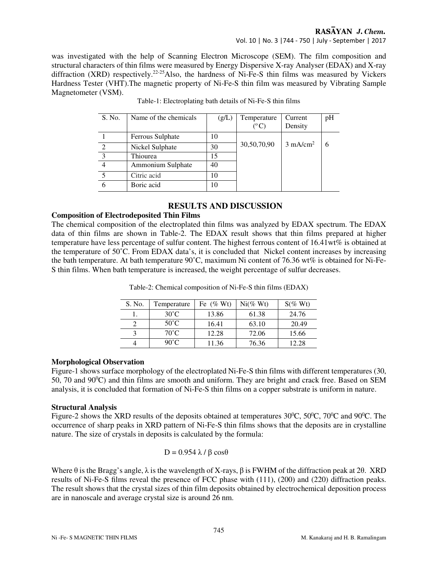#### RASAYAN J. Chem.

Vol. 10 | No. 3 |744 - 750 | July - September | 2017

was investigated with the help of Scanning Electron Microscope (SEM). The film composition and structural characters of thin films were measured by Energy Dispersive X-ray Analyser (EDAX) and X-ray diffraction (XRD) respectively.<sup>22-25</sup>Also, the hardness of Ni-Fe-S thin films was measured by Vickers Hardness Tester (VHT).The magnetic property of Ni-Fe-S thin film was measured by Vibrating Sample Magnetometer (VSM).

| S. No.         | Name of the chemicals | (g/L) | Temperature                 | Current             | pH |
|----------------|-----------------------|-------|-----------------------------|---------------------|----|
|                |                       |       | $(^{\mathrm{o}}\mathrm{C})$ | Density             |    |
|                | Ferrous Sulphate      | 10    |                             |                     |    |
| 2              | Nickel Sulphate       | 30    | 30,50,70,90                 | $3 \text{ mA/cm}^2$ |    |
| $\overline{3}$ | Thiourea              | 15    |                             |                     |    |
|                | Ammonium Sulphate     | 40    |                             |                     |    |
|                | Citric acid           | 10    |                             |                     |    |
|                | Boric acid            | 10    |                             |                     |    |

Table-1: Electroplating bath details of Ni-Fe-S thin films

## **RESULTS AND DISCUSSION**

#### **Composition of Electrodeposited Thin Films**

The chemical composition of the electroplated thin films was analyzed by EDAX spectrum. The EDAX data of thin films are shown in Table-2. The EDAX result shows that thin films prepared at higher temperature have less percentage of sulfur content. The highest ferrous content of 16.41wt% is obtained at the temperature of 50˚C. From EDAX data's, it is concluded that Nickel content increases by increasing the bath temperature. At bath temperature 90˚C, maximum Ni content of 76.36 wt% is obtained for Ni-Fe-S thin films. When bath temperature is increased, the weight percentage of sulfur decreases.

| S. No. | Temperature    | Fe $(\% Wt)$ | $Ni$ $\%$ Wt) | $S\%$ Wt |
|--------|----------------|--------------|---------------|----------|
|        | $30^{\circ}$ C | 13.86        | 61.38         | 24.76    |
|        | $50^{\circ}$ C | 16.41        | 63.10         | 20.49    |
|        | $70^{\circ}$ C | 12.28        | 72.06         | 15.66    |
|        | $90^{\circ}$ C | 11.36        | 76.36         | 12.28    |

Table-2: Chemical composition of Ni-Fe-S thin films (EDAX)

### **Morphological Observation**

Figure-1 shows surface morphology of the electroplated Ni-Fe-S thin films with different temperatures (30, 50, 70 and  $90^{\circ}$ C) and thin films are smooth and uniform. They are bright and crack free. Based on SEM analysis, it is concluded that formation of Ni-Fe-S thin films on a copper substrate is uniform in nature.

#### **Structural Analysis**

Figure-2 shows the XRD results of the deposits obtained at temperatures  $30^{\circ}$ C,  $50^{\circ}$ C,  $70^{\circ}$ C and  $90^{\circ}$ C. The occurrence of sharp peaks in XRD pattern of Ni-Fe-S thin films shows that the deposits are in crystalline nature. The size of crystals in deposits is calculated by the formula:

$$
D = 0.954 \lambda / \beta \cos \theta
$$

Where  $\theta$  is the Bragg's angle,  $\lambda$  is the wavelength of X-rays,  $\beta$  is FWHM of the diffraction peak at 2 $\theta$ . XRD results of Ni-Fe-S films reveal the presence of FCC phase with (111), (200) and (220) diffraction peaks. The result shows that the crystal sizes of thin film deposits obtained by electrochemical deposition process are in nanoscale and average crystal size is around 26 nm.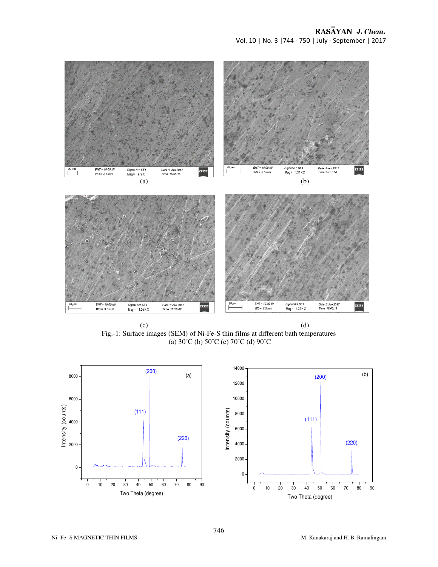

 $(c)$  (d) Fig.-1: Surface images (SEM) of Ni-Fe-S thin films at different bath temperatures (a) 30˚C (b) 50˚C (c) 70˚C (d) 90˚C

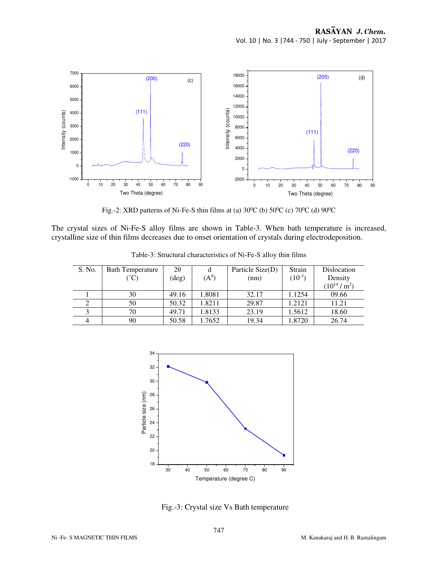

Fig.-2: XRD patterns of Ni-Fe-S thin films at (a)  $30^0C$  (b)  $50^0C$  (c)  $70^0C$  (d)  $90^0C$ 

The crystal sizes of Ni-Fe-S alloy films are shown in Table-3. When bath temperature is increased, crystalline size of thin films decreases due to onset orientation of crystals during electrodeposition.

| S. No. | <b>Bath Temperature</b><br>$\rm ^{\circ}C$ | 2θ<br>$(\text{deg})$ | d<br>$({\rm A}^0)$ | Particle Size(D)<br>(nm) | Strain<br>$(10^{-3})$ | Dislocation<br>Density<br>$(10^{14}/m^2)$ |
|--------|--------------------------------------------|----------------------|--------------------|--------------------------|-----------------------|-------------------------------------------|
|        | 30                                         | 49.16                | 1.8081             | 32.17                    | 1.1254                | 09.66                                     |
|        | 50                                         | 50.32                | 1.8211             | 29.87                    | 1.2121                | 11.21                                     |
|        | 70                                         | 49.71                | 1.8133             | 23.19                    | 1.5612                | 18.60                                     |
|        | 90                                         | 50.58                | 1.7652             | 19.34                    | 1.8720                | 26.74                                     |

Table-3: Structural characteristics of Ni-Fe-S alloy thin films



Fig.-3: Crystal size Vs Bath temperature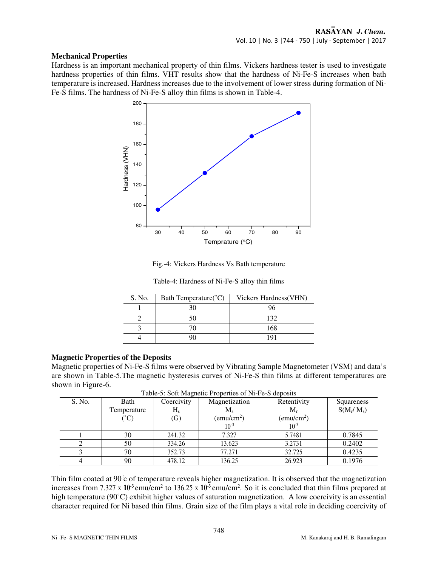#### **Mechanical Properties**

Hardness is an important mechanical property of thin films. Vickers hardness tester is used to investigate hardness properties of thin films. VHT results show that the hardness of Ni-Fe-S increases when bath temperature is increased. Hardness increases due to the involvement of lower stress during formation of Ni-Fe-S films. The hardness of Ni-Fe-S alloy thin films is shown in Table-4.



Fig.-4: Vickers Hardness Vs Bath temperature

| S. No. | Bath Temperature(°C) | Vickers Hardness (VHN) |
|--------|----------------------|------------------------|
|        |                      |                        |
|        |                      | 132                    |
|        |                      | 168                    |
|        |                      |                        |

Table-4: Hardness of Ni-Fe-S alloy thin films

#### **Magnetic Properties of the Deposits**

Magnetic properties of Ni-Fe-S films were observed by Vibrating Sample Magnetometer (VSM) and data's are shown in Table-5.The magnetic hysteresis curves of Ni-Fe-S thin films at different temperatures are shown in Figure-6.

| S. No. | Bath           | Coercivity        | Magnetization       | Retentivity         | Squareness   |
|--------|----------------|-------------------|---------------------|---------------------|--------------|
|        | Temperature    | $H_s$             | $M_{s}$             | $M_{r}$             | $S(M_r/M_s)$ |
|        | $C^{\circ}$ C) | $\left( G\right)$ | $\text{(emu/cm}^2)$ | $\text{(emu/cm}^2)$ |              |
|        |                |                   | $10^{-3}$           | $10^{-3}$           |              |
|        | 30             | 241.32            | 7.327               | 5.7481              | 0.7845       |
|        | 50             | 334.26            | 13.623              | 3.2731              | 0.2402       |
|        | 70             | 352.73            | 77.271              | 32.725              | 0.4235       |
|        | 90             | 478.12            | 136.25              | 26.923              | 0.1976       |

Table-5: Soft Magnetic Properties of Ni-Fe-S deposits

Thin film coated at 90 ̊c of temperature reveals higher magnetization. It is observed that the magnetization increases from 7.327 x 10<sup>-3</sup> emu/cm<sup>2</sup> to 136.25 x 10<sup>-3</sup> emu/cm<sup>2</sup>. So it is concluded that thin films prepared at high temperature (90°C) exhibit higher values of saturation magnetization. A low coercivity is an essential character required for Ni based thin films. Grain size of the film plays a vital role in deciding coercivity of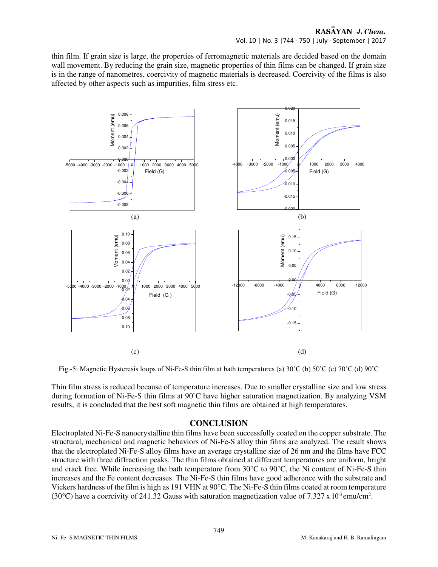thin film. If grain size is large, the properties of ferromagnetic materials are decided based on the domain wall movement. By reducing the grain size, magnetic properties of thin films can be changed. If grain size is in the range of nanometres, coercivity of magnetic materials is decreased. Coercivity of the films is also affected by other aspects such as impurities, film stress etc.



Fig.-5: Magnetic Hysteresis loops of Ni-Fe-S thin film at bath temperatures (a) 30˚C (b) 50˚C (c) 70˚C (d) 90˚C

Thin film stress is reduced because of temperature increases. Due to smaller crystalline size and low stress during formation of Ni-Fe-S thin films at 90˚C have higher saturation magnetization. By analyzing VSM results, it is concluded that the best soft magnetic thin films are obtained at high temperatures.

## **CONCLUSION**

Electroplated Ni-Fe-S nanocrystalline thin films have been successfully coated on the copper substrate. The structural, mechanical and magnetic behaviors of Ni-Fe-S alloy thin films are analyzed. The result shows that the electroplated Ni-Fe-S alloy films have an average crystalline size of 26 nm and the films have FCC structure with three diffraction peaks. The thin films obtained at different temperatures are uniform, bright and crack free. While increasing the bath temperature from 30°C to 90°C, the Ni content of Ni-Fe-S thin increases and the Fe content decreases. The Ni-Fe-S thin films have good adherence with the substrate and Vickers hardness of the film is high as 191 VHN at 90°C. The Ni-Fe-S thin films coated at room temperature (30°C) have a coercivity of 241.32 Gauss with saturation magnetization value of 7.327 x 10<sup>3</sup> emu/cm<sup>2</sup>.